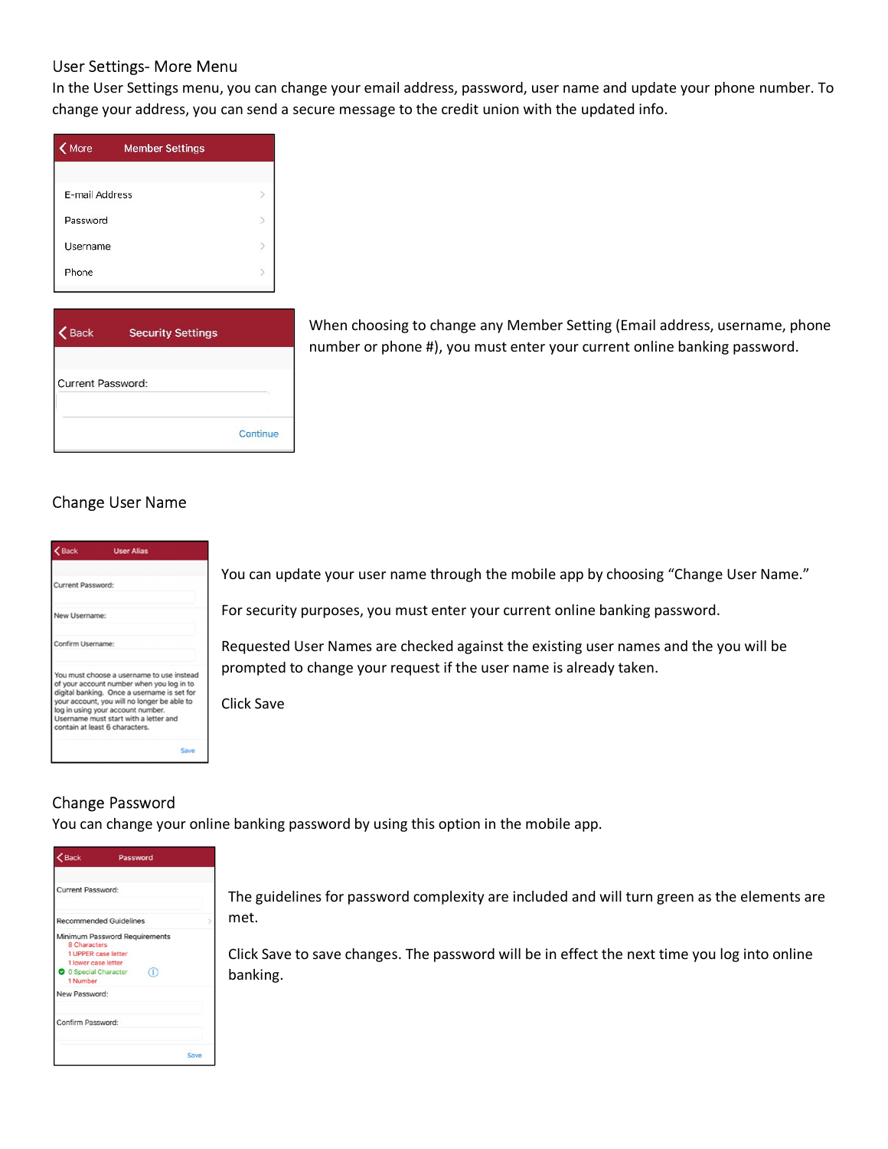#### User Settings- More Menu

In the User Settings menu, you can change your email address, password, user name and update your phone number. To change your address, you can send a secure message to the credit union with the updated info.

| More           | <b>Member Settings</b> |  |
|----------------|------------------------|--|
| E-mail Address |                        |  |
| Password       |                        |  |
| Username       |                        |  |
| Phone          |                        |  |
|                |                        |  |

| Back              | <b>Security Settings</b> |
|-------------------|--------------------------|
| Current Password: |                          |
|                   | Continue                 |

When choosing to change any Member Setting (Email address, username, phone number or phone #), you must enter your current online banking password.

## Change User Name

| $\langle$ Back<br><b>User Alias</b>                                                                                                                         |                                                                                      |
|-------------------------------------------------------------------------------------------------------------------------------------------------------------|--------------------------------------------------------------------------------------|
| <b>Current Password:</b>                                                                                                                                    | You can update your user name through the mobile app by choosing "Change User Name." |
| New Username:                                                                                                                                               | For security purposes, you must enter your current online banking password.          |
| Confirm Username:                                                                                                                                           | Requested User Names are checked against the existing user names and the you will be |
| You must choose a username to use instead<br>of your account number when you log in to<br>digital banking. Once a username is set for                       | prompted to change your request if the user name is already taken.                   |
| your account, you will no longer be able to<br>log in using your account number.<br>Username must start with a letter and<br>contain at least 6 characters. | Click Save                                                                           |
| Save                                                                                                                                                        |                                                                                      |

### Change Password

You can change your online banking password by using this option in the mobile app.

| $2$ Back                                                                                                                       | Password |  |
|--------------------------------------------------------------------------------------------------------------------------------|----------|--|
| <b>Current Password:</b>                                                                                                       |          |  |
| <b>Recommended Guidelines</b>                                                                                                  |          |  |
| Minimum Password Requirements<br>8 Characters<br>1 UPPER case letter<br>1 lower case letter<br>O Special Character<br>1 Number | Ğ,       |  |
| New Password:                                                                                                                  |          |  |
| Confirm Password:                                                                                                              |          |  |
|                                                                                                                                | Save     |  |

The guidelines for password complexity are included and will turn green as the elements are met.

Click Save to save changes. The password will be in effect the next time you log into online banking.